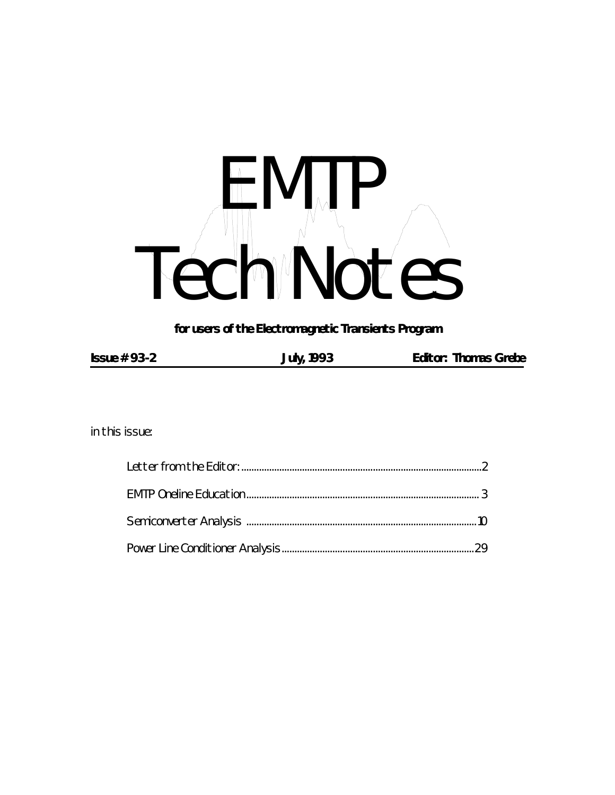# H MTP Tech Notes

*for users of the Electromagnetic Transients Program*

| $Issue # 93-2$<br><b>Editor: Thomas Grebe</b><br><b>July, 1993</b> |  |
|--------------------------------------------------------------------|--|
|--------------------------------------------------------------------|--|

*in this issue:*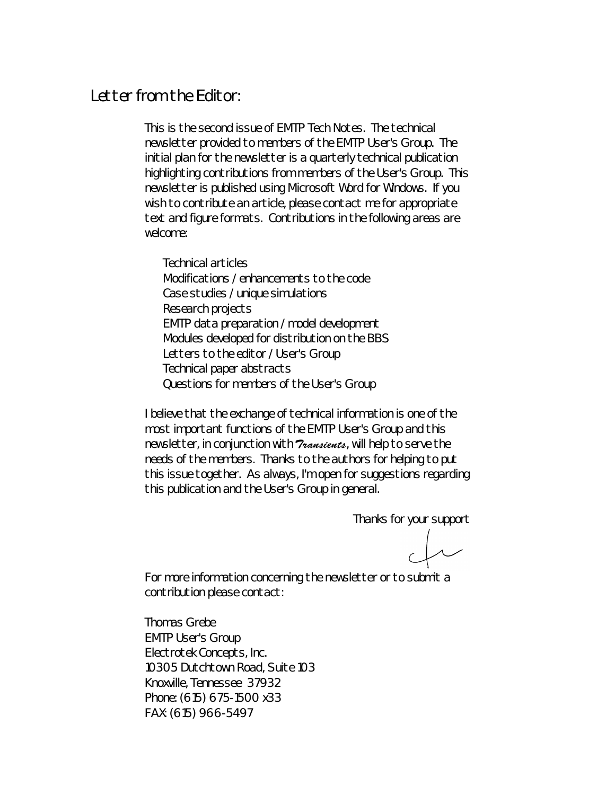## *Letter from the Editor:*

This is the second issue of *EMTP Tech Notes*. The technical newsletter provided to members of the EMTP User's Group. The initial plan for the newsletter is a quarterly technical publication highlighting contributions from members of the User's Group. This newsletter is published using Microsoft Word for Windows. If you wish to contribute an article, please contact me for appropriate text and figure formats. Contributions in the following areas are welcome:

Technical articles Modifications / enhancements to the code Case studies / unique simulations Research projects EMTP data preparation / model development Modules developed for distribution on the BBS Letters to the editor / User's Group Technical paper abstracts Questions for members of the User's Group

I believe that the exchange of technical information is one of the most important functions of the EMTP User's Group and this newsletter, in conjunction with *Transients*, will help to serve the needs of the members. Thanks to the authors for helping to put this issue together. As always, I'm open for suggestions regarding this publication and the User's Group in general.

Thanks for your support

For more information concerning the newsletter or to submit a contribution please contact:

Thomas Grebe EMTP User's Group Electrotek Concepts, Inc. 10305 Dutchtown Road, Suite 103 Knoxville, Tennessee 37932 Phone: (615) 675-1500 x33 FAX: (615) 966-5497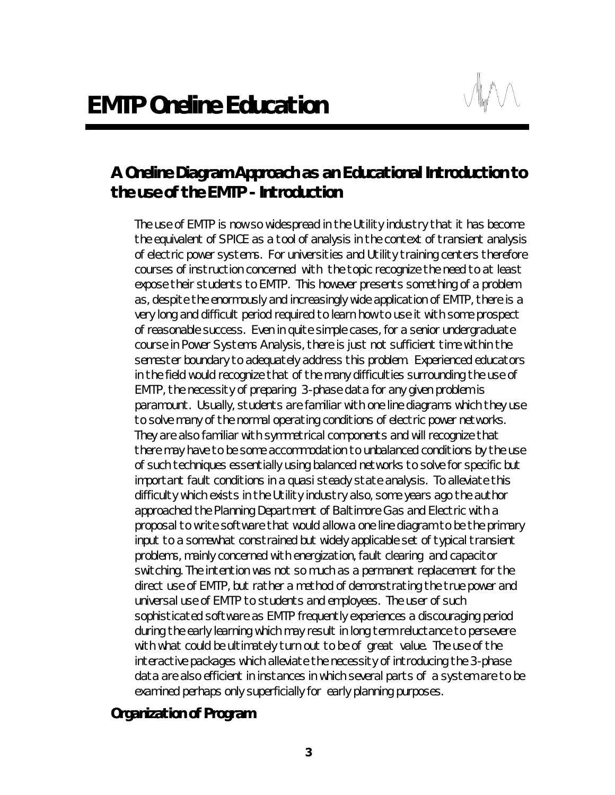# *A Oneline Diagram Approach as an Educational Introduction to the use of the EMTP - Introduction*

The use of EMTP is now so widespread in the Utility industry that it has become the equivalent of SPICE as a tool of analysis in the context of transient analysis of electric power systems. For universities and Utility training centers therefore courses of instruction concerned with the topic recognize the need to at least expose their students to EMTP. This however presents something of a problem as, despite the enormously and increasingly wide application of EMTP, there is a very long and difficult period required to learn how to use it with some prospect of reasonable success. Even in quite simple cases, for a senior undergraduate course in Power Systems Analysis, there is just not sufficient time within the semester boundary to adequately address this problem. Experienced educators in the field would recognize that of the many difficulties surrounding the use of EMTP, the necessity of preparing 3-phase data for any given problem is paramount. Usually, students are familiar with one line diagrams which they use to solve many of the normal operating conditions of electric power networks. They are also familiar with symmetrical components and will recognize that there may have to be some accommodation to unbalanced conditions by the use of such techniques essentially using balanced networks to solve for specific but important fault conditions in a quasi steady state analysis. To alleviate this difficulty which exists in the Utility industry also, some years ago the author approached the Planning Department of Baltimore Gas and Electric with a proposal to write software that would allow a one line diagram to be the primary input to a somewhat constrained but widely applicable set of typical transient problems, mainly concerned with energization, fault clearing and capacitor switching. The intention was not so much as a permanent replacement for the direct use of EMTP, but rather a method of demonstrating the true power and universal use of EMTP to students and employees. The user of such sophisticated software as EMTP frequently experiences a discouraging period during the early learning which may result in long term reluctance to persevere with what could be ultimately turn out to be of great value. The use of the interactive packages which alleviate the necessity of introducing the 3-phase data are also efficient in instances in which several parts of a system are to be examined perhaps only superficially for early planning purposes.

## *Organization of Program*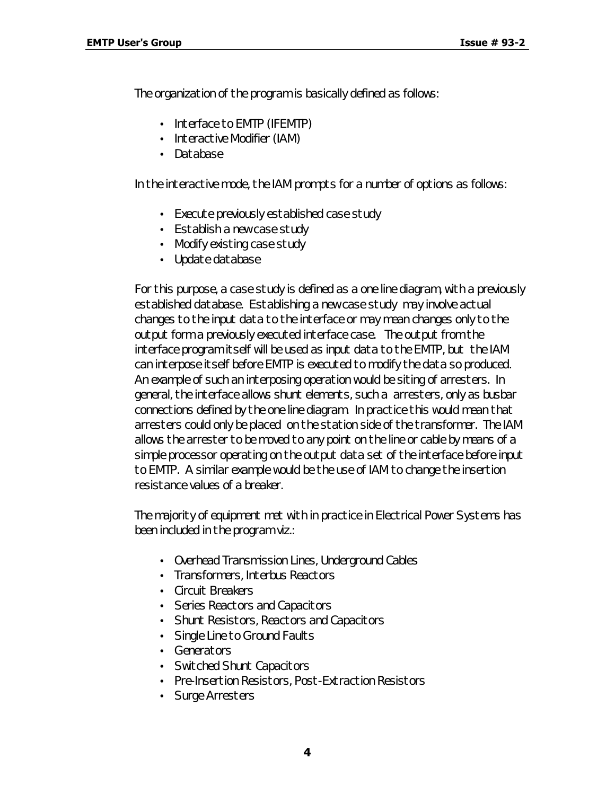The organization of the program is basically defined as follows:

- Interface to EMTP (IFEMTP)
- Interactive Modifier (IAM)
- Database

In the interactive mode, the IAM prompts for a number of options as follows:

- Execute previously established case study
- Establish a new case study
- Modify existing case study
- Update database

For this purpose, a case study is defined as a one line diagram, with a previously established database. Establishing a new case study may involve actual changes to the input data to the interface or may mean changes only to the output form a previously executed interface case. The output from the interface program itself will be used as input data to the EMTP, but the IAM can interpose itself before EMTP is executed to modify the data so produced. An example of such an interposing operation would be siting of arresters. In general, the interface allows shunt elements, such a arresters, only as busbar connections defined by the one line diagram. In practice this would mean that arresters could only be placed on the station side of the transformer. The IAM allows the arrester to be moved to any point on the line or cable by means of a simple processor operating on the output data set of the interface before input to EMTP. A similar example would be the use of IAM to change the insertion resistance values of a breaker.

The majority of equipment met with in practice in Electrical Power Systems has been included in the program viz.:

- Overhead Transmission Lines, Underground Cables
- Transformers, Interbus Reactors
- Circuit Breakers
- Series Reactors and Capacitors
- Shunt Resistors, Reactors and Capacitors
- Single Line to Ground Faults
- Generators
- Switched Shunt Capacitors
- Pre-Insertion Resistors, Post-Extraction Resistors
- Surge Arresters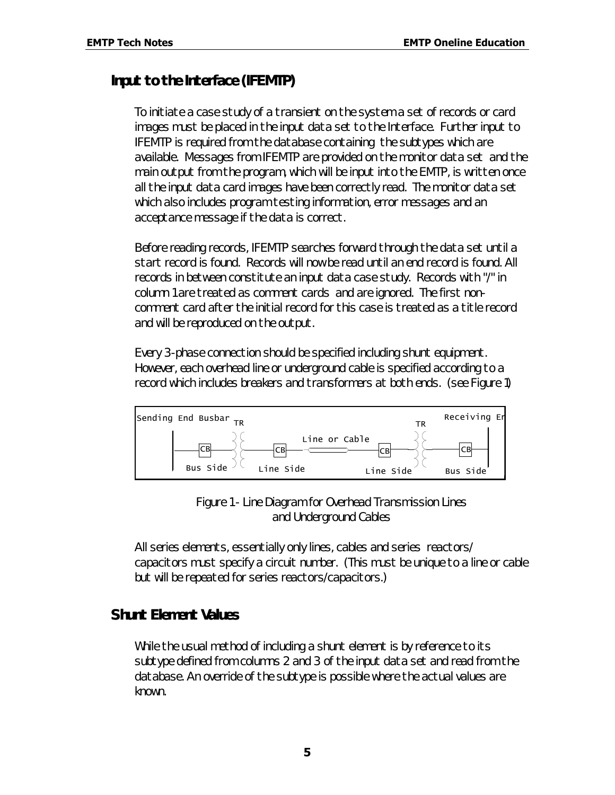#### *Input to the Interface (IFEMTP)*

To initiate a case study of a transient on the system a set of records or card images must be placed in the input data set to the Interface. Further input to IFEMTP is required from the database containing the subtypes which are available. Messages from IFEMTP are provided on the monitor data set and the main output from the program, which will be input into the EMTP, is written once all the input data card images have been correctly read. The monitor data set which also includes program testing information, error messages and an acceptance message if the data is correct.

Before reading records, IFEMTP searches forward through the data set until a start record is found. Records will now be read until an end record is found. All records in between constitute an input data case study. Records with "/" in column 1 are treated as comment cards and are ignored. The first noncomment card after the initial record for this case is treated as a title record and will be reproduced on the output.

Every 3-phase connection should be specified including shunt equipment. However, each overhead line or underground cable is specified according to a record which includes breakers and transformers at both ends. (see Figure 1)



*Figure 1 - Line Diagram for Overhead Transmission Lines and Underground Cables*

All series elements, essentially only lines, cables and series reactors/ capacitors must specify a circuit number. (This must be unique to a line or cable but will be repeated for series reactors/capacitors.)

#### *Shunt Element Values*

While the usual method of including a shunt element is by reference to its subtype defined from columns 2 and 3 of the input data set and read from the database. An override of the subtype is possible where the actual values are known.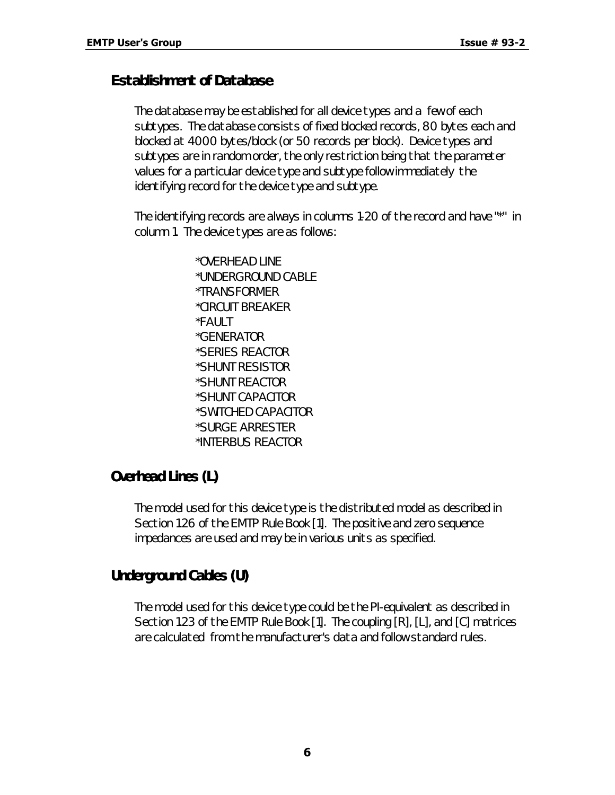#### *Establishment of Database*

The database may be established for all device types and a few of each subtypes. The database consists of fixed blocked records, 80 bytes each and blocked at 4000 bytes/block (or 50 records per block). Device types and subtypes are in random order, the only restriction being that the parameter values for a particular device type and subtype follow immediately the identifying record for the device type and subtype.

The identifying records are always in columns 1-20 of the record and have "\*" in column 1. The device types are as follows:

> \*OVERHEAD LINE \*UNDERGROUND CABLE \*TRANSFORMER \*CIRCUIT BREAKER \*FAULT \*GENERATOR \*SERIES REACTOR \*SHUNT RESISTOR \*SHUNT REACTOR \*SHUNT CAPACITOR \*SWITCHED CAPACITOR \*SURGE ARRESTER \*INTERBUS REACTOR

#### *Overhead Lines (L)*

The model used for this device type is the distributed model as described in Section 1.26 of the EMTP Rule Book [1]. The positive and zero sequence impedances are used and may be in various units as specified.

## *Underground Cables (U)*

The model used for this device type could be the PI-equivalent as described in Section 1.23 of the EMTP Rule Book [1]. The coupling [R], [L], and [C] matrices are calculated from the manufacturer's data and follow standard rules.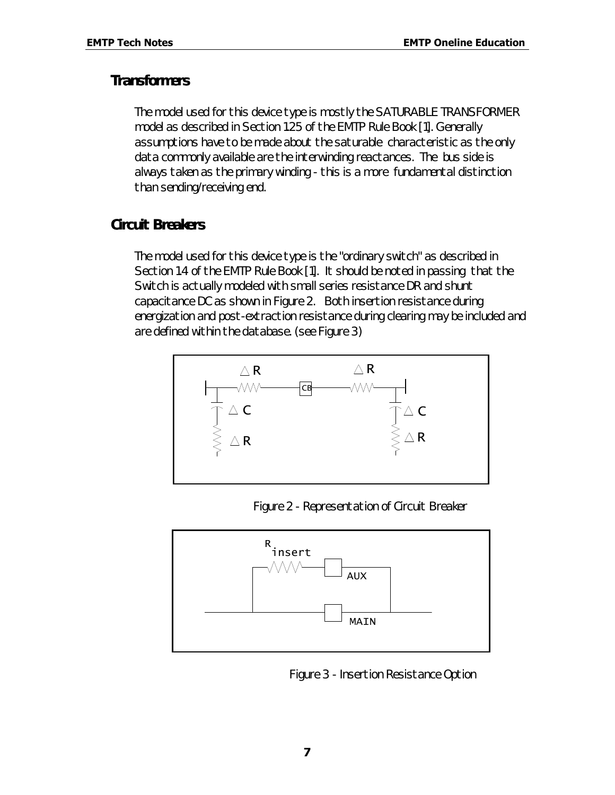#### *Transformers*

The model used for this device type is mostly the SATURABLE TRANSFORMER model as described in Section 1.25 of the EMTP Rule Book [1]. Generally assumptions have to be made about the saturable characteristic as the only data commonly available are the interwinding reactances. The bus side is always taken as the primary winding - this is a more fundamental distinction than sending/receiving end.

#### *Circuit Breakers*

The model used for this device type is the "ordinary switch" as described in Section 1.4 of the EMTP Rule Book [1]. It should be noted in passing that the Switch is actually modeled with small series resistance DR and shunt capacitance DC as shown in Figure 2. Both insertion resistance during energization and post-extraction resistance during clearing may be included and are defined within the database. (see Figure 3)



*Figure 2 - Representation of Circuit Breaker*



*Figure 3 - Insertion Resistance Option*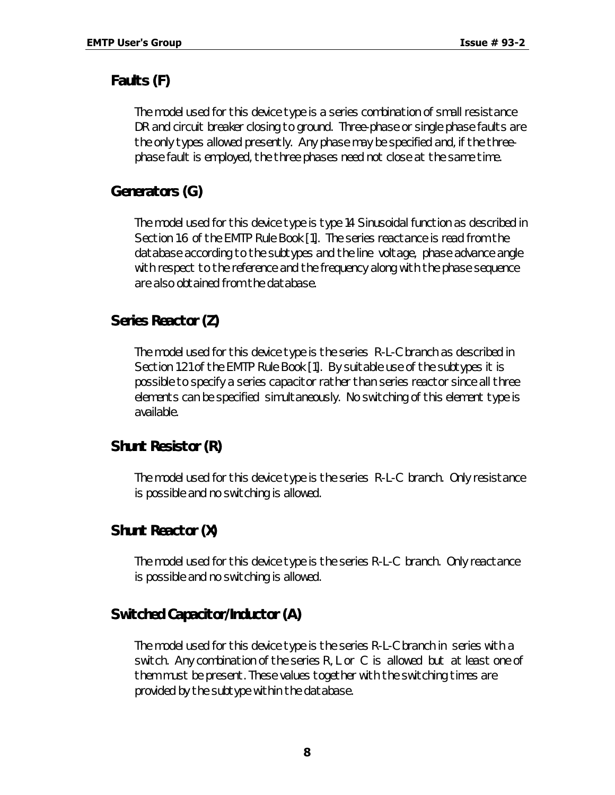## *Faults (F)*

The model used for this device type is a series combination of small resistance DR and circuit breaker closing to ground. Three-phase or single phase faults are the only types allowed presently. Any phase may be specified and, if the threephase fault is employed, the three phases need not close at the same time.

## *Generators (G)*

The model used for this device type is type 14 Sinusoidal function as described in Section 1.6 of the EMTP Rule Book [1]. The series reactance is read from the database according to the subtypes and the line voltage, phase advance angle with respect to the reference and the frequency along with the phase sequence are also obtained from the database.

## *Series Reactor (Z)*

The model used for this device type is the series R-L-C branch as described in Section 1.21 of the EMTP Rule Book [1]. By suitable use of the subtypes it is possible to specify a series capacitor rather than series reactor since all three elements can be specified simultaneously. No switching of this element type is available.

## *Shunt Resistor (R)*

The model used for this device type is the series R-L-C branch. Only resistance is possible and no switching is allowed.

## *Shunt Reactor (X)*

The model used for this device type is the series R-L-C branch. Only reactance is possible and no switching is allowed.

## *Switched Capacitor/Inductor (A)*

The model used for this device type is the series R-L-C branch in series with a switch. Any combination of the series R, L or C is allowed but at least one of them must be present. These values together with the switching times are provided by the subtype within the database.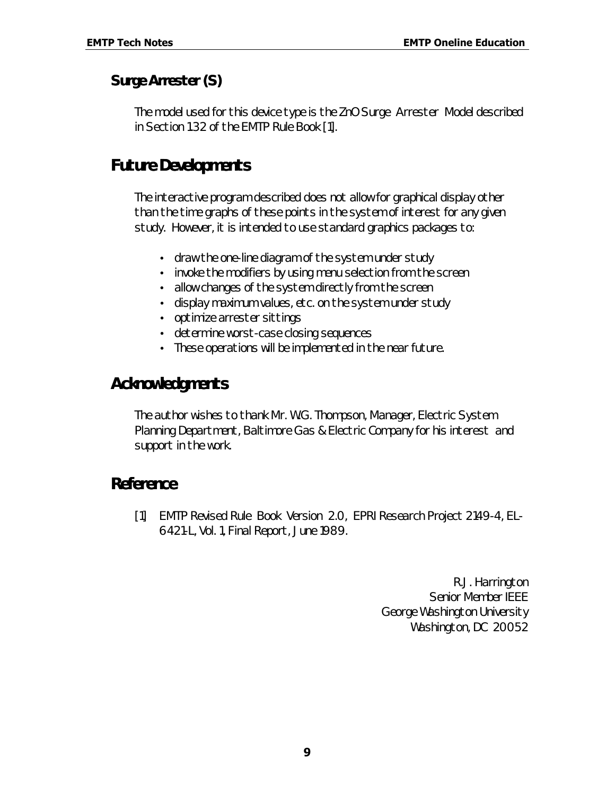## *Surge Arrester (S)*

The model used for this device type is the ZnO Surge Arrester Model described in Section 1.32 of the EMTP Rule Book [1].

## *Future Developments*

The interactive program described does not allow for graphical display other than the time graphs of these points in the system of interest for any given study. However, it is intended to use standard graphics packages to:

- draw the one-line diagram of the system under study
- invoke the modifiers by using menu selection from the screen
- allow changes of the system directly from the screen
- display maximum values, etc. on the system under study
- optimize arrester sittings
- determine worst-case closing sequences
- These operations will be implemented in the near future.

## *Acknowledgments*

The author wishes to thank Mr. W.G. Thompson, Manager, Electric System Planning Department, Baltimore Gas & Electric Company for his interest and support in the work.

## *Reference*

[1] EMTP Revised Rule Book Version 2.0, EPRI Research Project 2149-4, EL-6421-L, Vol. 1, Final Report, June 1989.

> *R.J. Harrington Senior Member IEEE George Washington University Washington, DC 20052*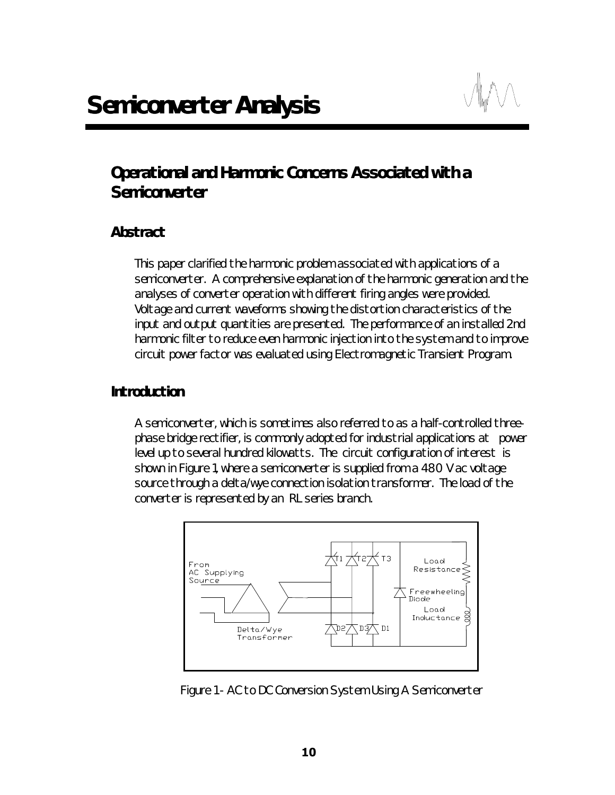# *Operational and Harmonic Concerns Associated with a Semiconverter*

#### *Abstract*

This paper clarified the harmonic problem associated with applications of a semiconverter. A comprehensive explanation of the harmonic generation and the analyses of converter operation with different firing angles were provided. Voltage and current waveforms showing the distortion characteristics of the input and output quantities are presented. The performance of an installed 2nd harmonic filter to reduce even harmonic injection into the system and to improve circuit power factor was evaluated using Electromagnetic Transient Program.

#### *Introduction*

A semiconverter, which is sometimes also referred to as a half-controlled threephase bridge rectifier, is commonly adopted for industrial applications at power level up to several hundred kilowatts. The circuit configuration of interest is shown in Figure 1, where a semiconverter is supplied from a 480 V ac voltage source through a delta/wye connection isolation transformer. The load of the converter is represented by an RL series branch.



*Figure 1 - AC to DC Conversion System Using A Semiconverter*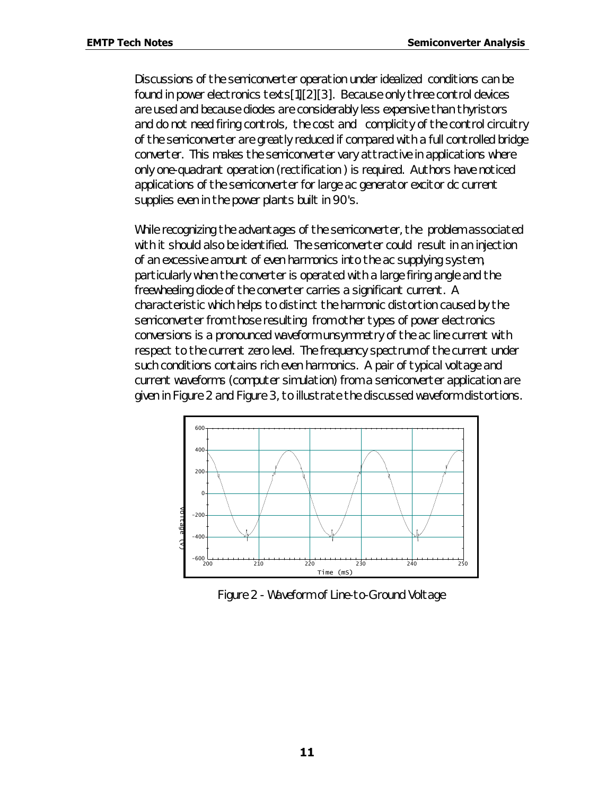Discussions of the semiconverter operation under idealized conditions can be found in power electronics texts[1][2][3]. Because only three control devices are used and because diodes are considerably less expensive than thyristors and do not need firing controls, the cost and complicity of the control circuitry of the semiconverter are greatly reduced if compared with a full controlled bridge converter. This makes the semiconverter vary attractive in applications where only one-quadrant operation (rectification ) is required. Authors have noticed applications of the semiconverter for large ac generator excitor dc current supplies even in the power plants built in 90's.

While recognizing the advantages of the semiconverter, the problem associated with it should also be identified. The semiconverter could result in an injection of an excessive amount of even harmonics into the ac supplying system, particularly when the converter is operated with a large firing angle and the freewheeling diode of the converter carries a significant current. A characteristic which helps to distinct the harmonic distortion caused by the semiconverter from those resulting from other types of power electronics conversions is a pronounced waveform unsymmetry of the ac line current with respect to the current zero level. The frequency spectrum of the current under such conditions contains rich even harmonics. A pair of typical voltage and current waveforms (computer simulation) from a semiconverter application are given in Figure 2 and Figure 3, to illustrate the discussed waveform distortions.



*Figure 2 - Waveform of Line-to-Ground Voltage*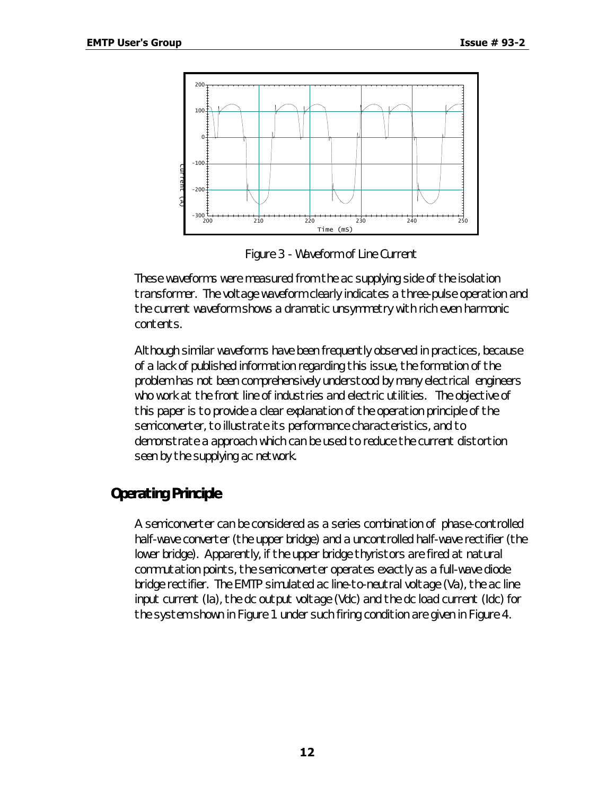

*Figure 3 - Waveform of Line Current*

These waveforms were measured from the ac supplying side of the isolation transformer. The voltage waveform clearly indicates a three-pulse operation and the current waveform shows a dramatic unsymmetry with rich even harmonic contents.

Although similar waveforms have been frequently observed in practices, because of a lack of published information regarding this issue, the formation of the problem has not been comprehensively understood by many electrical engineers who work at the front line of industries and electric utilities. The objective of this paper is to provide a clear explanation of the operation principle of the semiconverter, to illustrate its performance characteristics, and to demonstrate a approach which can be used to reduce the current distortion seen by the supplying ac network.

## *Operating Principle*

A semiconverter can be considered as a series combination of phase-controlled half-wave converter (the upper bridge) and a uncontrolled half-wave rectifier (the lower bridge). Apparently, if the upper bridge thyristors are fired at natural commutation points, the semiconverter operates exactly as a full-wave diode bridge rectifier. The EMTP simulated ac line-to-neutral voltage (Va), the ac line input current (Ia), the dc output voltage (Vdc) and the dc load current (Idc) for the system shown in Figure 1 under such firing condition are given in Figure 4.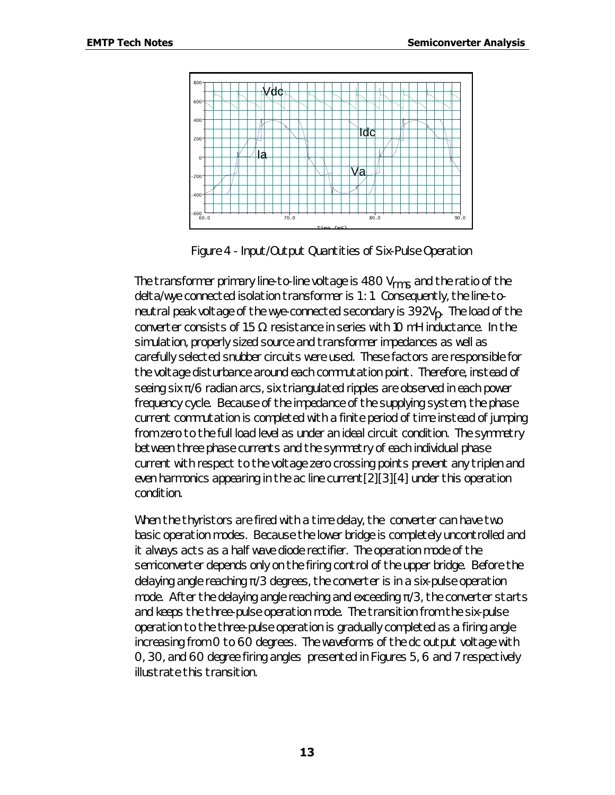

*Figure 4 - Input/Output Quantities of Six-Pulse Operation*

The transformer primary line-to-line voltage is 480  $V_{rms}$  and the ratio of the delta/wye connected isolation transformer is 1 : 1. Consequently, the line-toneutral peak voltage of the wye-connected secondary is 392V<sub>p</sub>. The load of the converter consists of 1.5  $\Omega$  resistance in series with 10 mH inductance. In the simulation, properly sized source and transformer impedances as well as carefully selected snubber circuits were used. These factors are responsible for the voltage disturbance around each commutation point. Therefore, instead of seeing six  $\pi/6$  radian arcs, six triangulated ripples are observed in each power frequency cycle. Because of the impedance of the supplying system, the phase current commutation is completed with a finite period of time instead of jumping from zero to the full load level as under an ideal circuit condition. The symmetry between three phase currents and the symmetry of each individual phase current with respect to the voltage zero crossing points prevent any triplen and even harmonics appearing in the ac line current[2][3][4] under this operation condition.

When the thyristors are fired with a time delay, the converter can have two basic operation modes. Because the lower bridge is completely uncontrolled and it always acts as a half wave diode rectifier. The operation mode of the semiconverter depends only on the firing control of the upper bridge. Before the delaying angle reaching  $\pi/3$  degrees, the converter is in a six-pulse operation mode. After the delaying angle reaching and exceeding  $\pi/3$ , the converter starts and keeps the three-pulse operation mode. The transition from the six-pulse operation to the three-pulse operation is gradually completed as a firing angle increasing from 0 to 60 degrees. The waveforms of the dc output voltage with 0, 30, and 60 degree firing angles presented in Figures 5, 6 and 7 respectively illustrate this transition.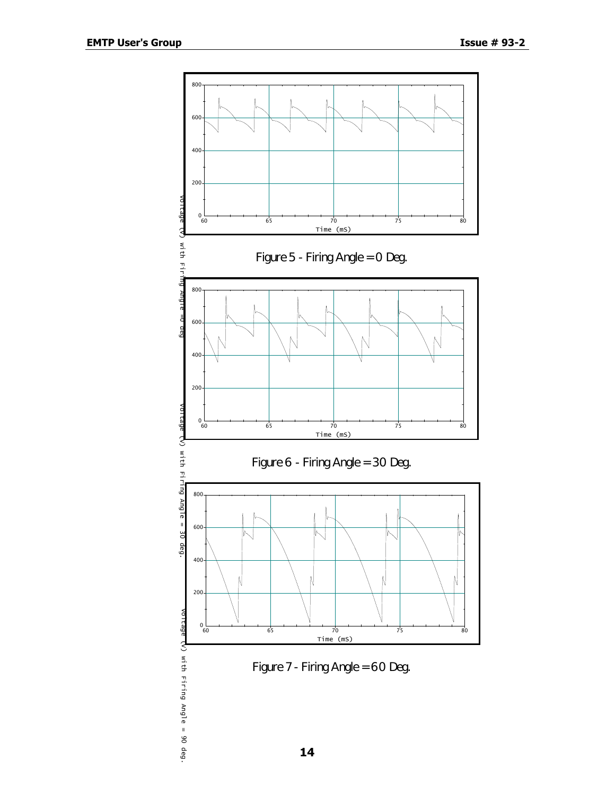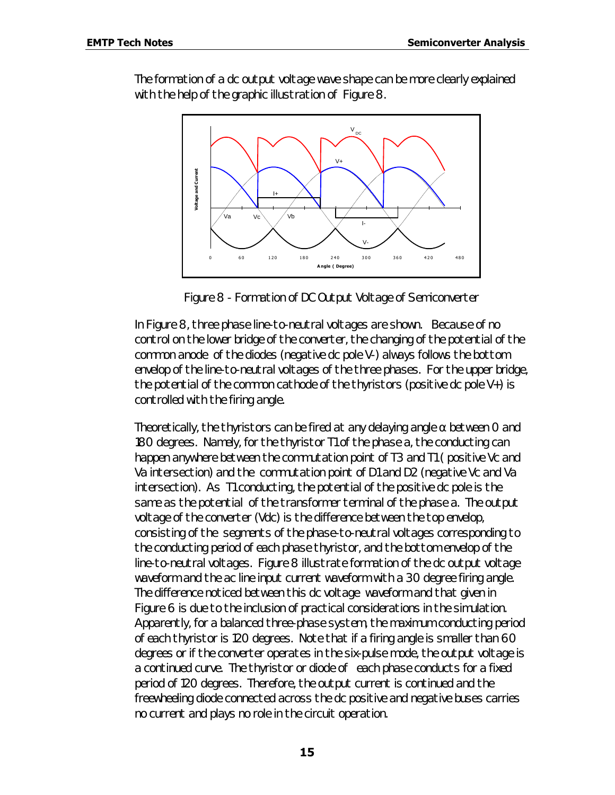The formation of a dc output voltage wave shape can be more clearly explained with the help of the graphic illustration of Figure 8.



*Figure 8 - Formation of DC Output Voltage of Semiconverter*

In Figure 8, three phase line-to-neutral voltages are shown. Because of no control on the lower bridge of the converter, the changing of the potential of the common anode of the diodes (negative dc pole V-) always follows the bottom envelop of the line-to-neutral voltages of the three phases. For the upper bridge, the potential of the common cathode of the thyristors (positive dc pole  $V_{+}$ ) is controlled with the firing angle.

Theoretically, the thyristors can be fired at any delaying angle  $\alpha$  between O and 180 degrees. Namely, for the thyristor T1 of the phase a, the conducting can happen anywhere between the commutation point of T3 and T1 ( positive Vc and Va intersection) and the commutation point of D1 and D2 (negative Vc and Va intersection). As T1 conducting, the potential of the positive dc pole is the same as the potential of the transformer terminal of the phase a. The output voltage of the converter (Vdc) is the difference between the top envelop, consisting of the segments of the phase-to-neutral voltages corresponding to the conducting period of each phase thyristor, and the bottom envelop of the line-to-neutral voltages. Figure 8 illustrate formation of the dc output voltage waveform and the ac line input current waveform with a 30 degree firing angle. The difference noticed between this dc voltage waveform and that given in Figure 6 is due to the inclusion of practical considerations in the simulation. Apparently, for a balanced three-phase system, the maximum conducting period of each thyristor is 120 degrees. Note that if a firing angle is smaller than 60 degrees or if the converter operates in the six-pulse mode, the output voltage is a continued curve. The thyristor or diode of each phase conducts for a fixed period of 120 degrees. Therefore, the output current is continued and the freewheeling diode connected across the dc positive and negative buses carries no current and plays no role in the circuit operation.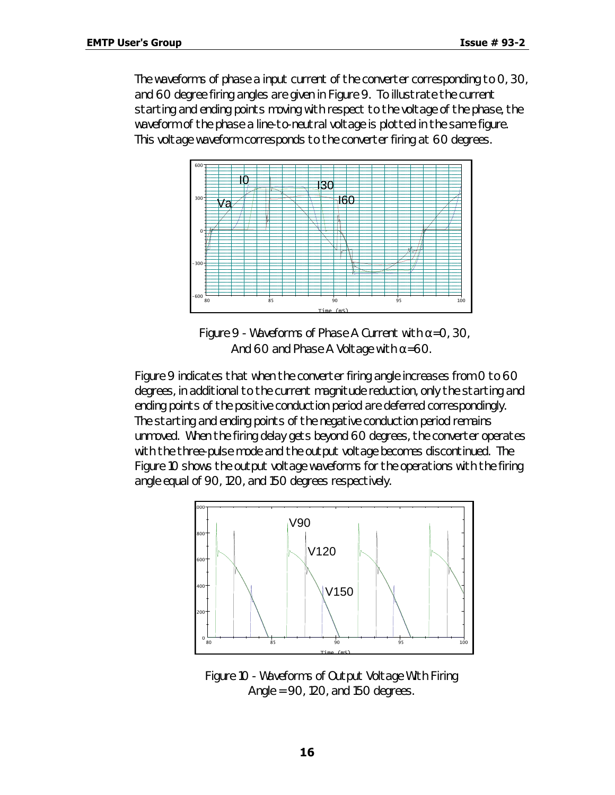The waveforms of phase a input current of the converter corresponding to 0, 30, and 60 degree firing angles are given in Figure 9. To illustrate the current starting and ending points moving with respect to the voltage of the phase, the waveform of the phase a line-to-neutral voltage is plotted in the same figure. This voltage waveform corresponds to the converter firing at 60 degrees.



 *Figure 9 - Waveforms of Phase A Current with a=0, 30, And 60 and Phase A Voltage with a=60.*

Figure 9 indicates that when the converter firing angle increases from 0 to 60 degrees, in additional to the current magnitude reduction, only the starting and ending points of the positive conduction period are deferred correspondingly. The starting and ending points of the negative conduction period remains unmoved. When the firing delay gets beyond 60 degrees, the converter operates with the three-pulse mode and the output voltage becomes discontinued. The Figure 10 shows the output voltage waveforms for the operations with the firing angle equal of 90, 120, and 150 degrees respectively.



*Figure 10 - Waveforms of Output Voltage With Firing Angle = 90, 120, and 150 degrees.*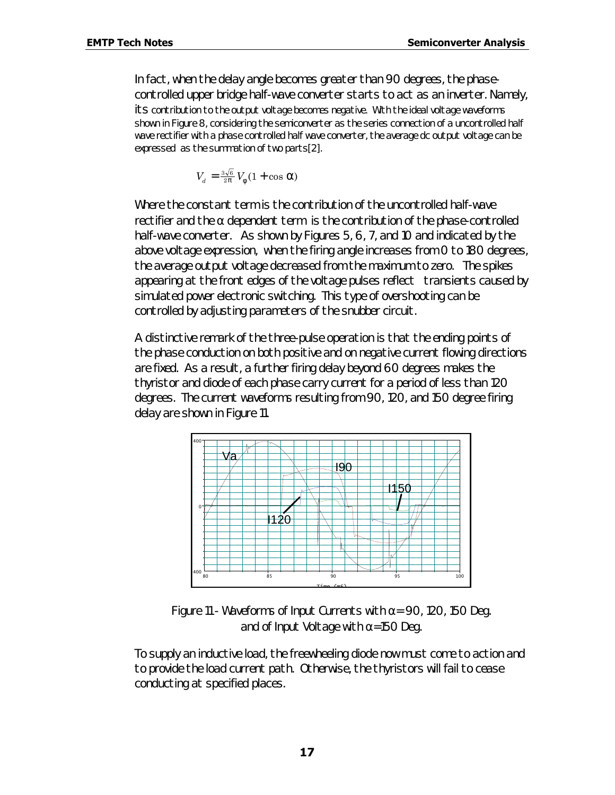In fact, when the delay angle becomes greater than 90 degrees, the phasecontrolled upper bridge half-wave converter starts to act as an inverter. Namely, its contribution to the output voltage becomes negative. With the ideal voltage waveforms shown in Figure 8, considering the semiconverter as the series connection of a uncontrolled half wave rectifier with a phase controlled half wave converter, the average dc output voltage can be expressed as the summation of two parts[2].

$$
V_d = \frac{3\sqrt{6}}{2p} V_f (1 + \cos a)
$$

Where the constant term is the contribution of the uncontrolled half-wave rectifier and the  $\alpha$  dependent term is the contribution of the phase-controlled half-wave converter. As shown by Figures 5, 6, 7, and 10 and indicated by the above voltage expression, when the firing angle increases from 0 to 180 degrees, the average output voltage decreased from the maximum to zero. The spikes appearing at the front edges of the voltage pulses reflect transients caused by simulated power electronic switching. This type of overshooting can be controlled by adjusting parameters of the snubber circuit.

A distinctive remark of the three-pulse operation is that the ending points of the phase conduction on both positive and on negative current flowing directions are fixed. As a result, a further firing delay beyond 60 degrees makes the thyristor and diode of each phase carry current for a period of less than 120 degrees. The current waveforms resulting from 90, 120, and 150 degree firing delay are shown in Figure 11.



*Figure 11 - Waveforms of Input Currents with a= 90, 120, 150 Deg. and of Input Voltage with a=150 Deg.*

To supply an inductive load, the freewheeling diode now must come to action and to provide the load current path. Otherwise, the thyristors will fail to cease conducting at specified places.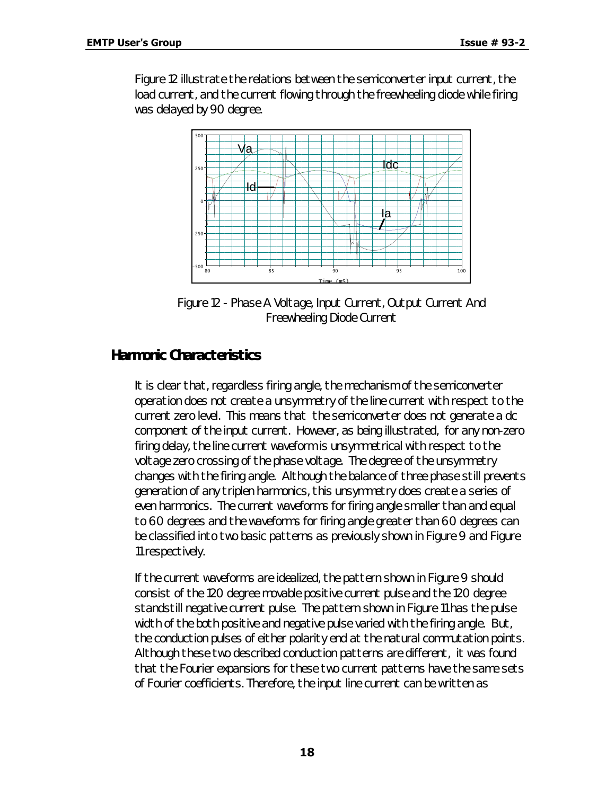Figure 12 illustrate the relations between the semiconverter input current, the load current, and the current flowing through the freewheeling diode while firing was delayed by 90 degree.



*Figure 12 - Phase A Voltage, Input Current, Output Current And Freewheeling Diode Current*

#### *Harmonic Characteristics*

It is clear that, regardless firing angle, the mechanism of the semiconverter operation does not create a unsymmetry of the line current with respect to the current zero level. This means that the semiconverter does not generate a dc component of the input current. However, as being illustrated, for any non-zero firing delay, the line current waveform is unsymmetrical with respect to the voltage zero crossing of the phase voltage. The degree of the unsymmetry changes with the firing angle. Although the balance of three phase still prevents generation of any triplen harmonics, this unsymmetry does create a series of even harmonics. The current waveforms for firing angle smaller than and equal to 60 degrees and the waveforms for firing angle greater than 60 degrees can be classified into two basic patterns as previously shown in Figure 9 and Figure 11 respectively.

If the current waveforms are idealized, the pattern shown in Figure 9 should consist of the 120 degree movable positive current pulse and the 120 degree standstill negative current pulse. The pattern shown in Figure 11 has the pulse width of the both positive and negative pulse varied with the firing angle. But, the conduction pulses of either polarity end at the natural commutation points. Although these two described conduction patterns are different, it was found that the Fourier expansions for these two current patterns have the same sets of Fourier coefficients. Therefore, the input line current can be written as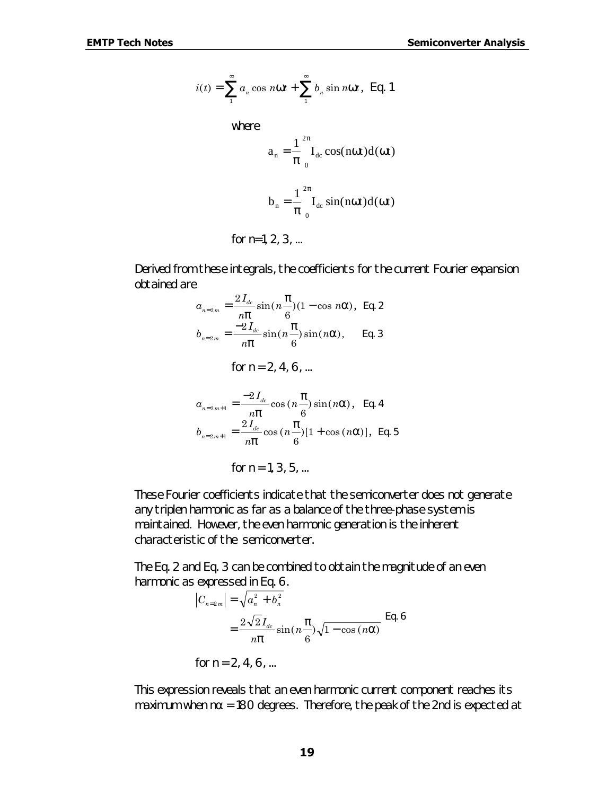$$
i(t) = \sum_{1}^{\infty} a_n \cos n\mathbf{W}t + \sum_{1}^{\infty} b_n \sin n\mathbf{W}t, \text{ Eq. 1}
$$

where  
\n
$$
a_n = \frac{1}{\pi} \int_{0}^{2\pi} I_{dc} \cos(n\omega t) d(\omega t)
$$
\n
$$
b_n = \frac{1}{\pi} \int_{0}^{2\pi} I_{dc} \sin(n\omega t) d(\omega t)
$$

for  $n=1, 2, 3, ...$ 

Derived from these integrals, the coefficients for the current Fourier expansion obtained are

$$
a_{n=2m} = \frac{2I_{dc}}{np} \sin(n\frac{p}{6})(1-\cos n\mathbf{a}), \text{ Eq. 2}
$$
  
\n
$$
b_{n=2m} = \frac{-2I_{dc}}{np} \sin(n\frac{p}{6}) \sin(n\mathbf{a}), \text{ Eq. 3}
$$
  
\nfor n = 2, 4, 6, ...

$$
a_{n=2m+1} = \frac{-2I_{dc}}{np} \cos(n\frac{p}{6})\sin(n\mathbf{a}), \text{ Eq. 4}
$$
  

$$
b_{n=2m+1} = \frac{2I_{dc}}{np} \cos(n\frac{p}{6})[1 + \cos(n\mathbf{a})], \text{ Eq. 5}
$$

for  $n = 1, 3, 5, ...$ 

These Fourier coefficients indicate that the semiconverter does not generate any triplen harmonic as far as a balance of the three-phase system is maintained. However, the even harmonic generation is the inherent characteristic of the semiconverter.

The Eq. 2 and Eq. 3 can be combined to obtain the magnitude of an even harmonic as expressed in Eq. 6.

$$
|C_{n=2m}| = \sqrt{a_n^2 + b_n^2}
$$
  
=  $\frac{2\sqrt{2}I_{dc}}{n\mathbf{p}}\sin(n\frac{\mathbf{p}}{6})\sqrt{1-\cos(n\mathbf{a})}$  Eq. 6  
for n = 2, 4, 6, ...

This expression reveals that an even harmonic current component reaches its maximum when  $n\alpha$  = 180 degrees. Therefore, the peak of the 2nd is expected at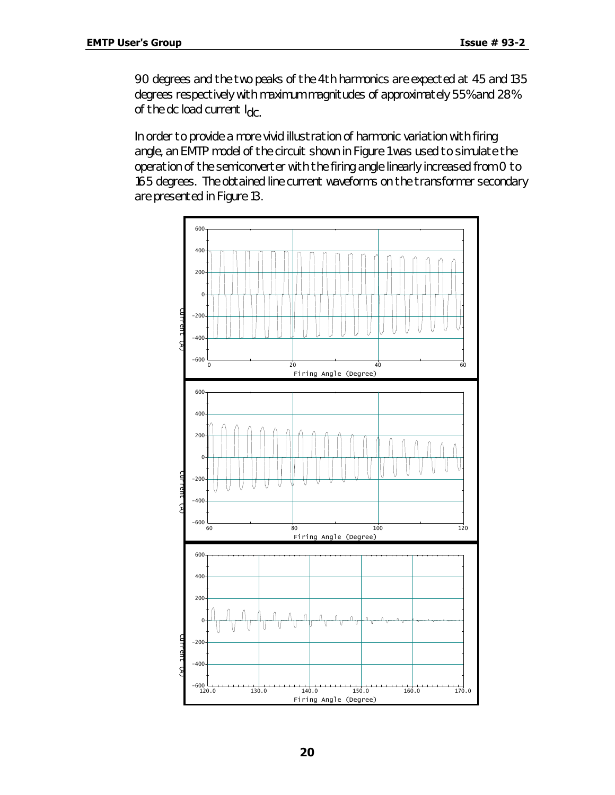90 degrees and the two peaks of the 4th harmonics are expected at 45 and 135 degrees respectively with maximum magnitudes of approximately 55% and 28% of the dc load current  $I_{\text{dC}}$ .

In order to provide a more vivid illustration of harmonic variation with firing angle, an EMTP model of the circuit shown in Figure 1 was used to simulate the operation of the semiconverter with the firing angle linearly increased from 0 to 165 degrees. The obtained line current waveforms on the transformer secondary are presented in Figure 13.

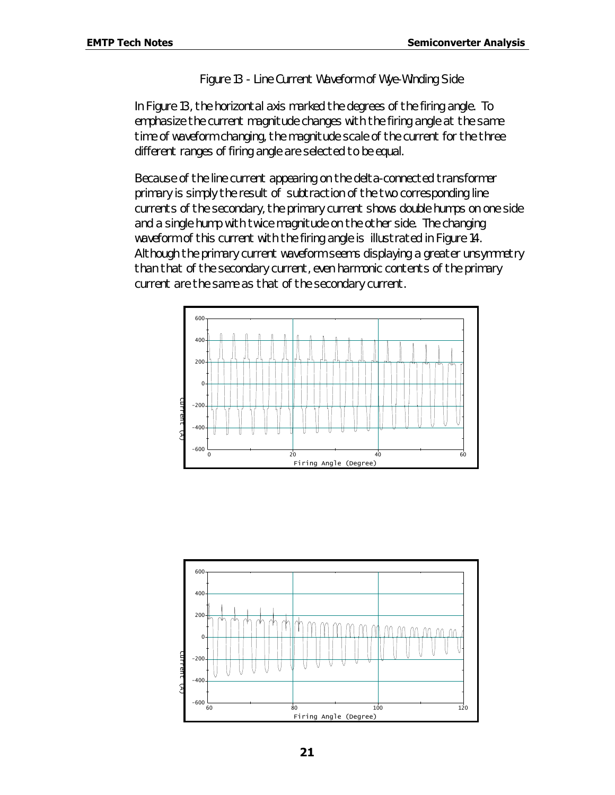#### *Figure 13 - Line Current Waveform of Wye-Winding Side*

In Figure 13, the horizontal axis marked the degrees of the firing angle. To emphasize the current magnitude changes with the firing angle at the same time of waveform changing, the magnitude scale of the current for the three different ranges of firing angle are selected to be equal.

Because of the line current appearing on the delta-connected transformer primary is simply the result of subtraction of the two corresponding line currents of the secondary, the primary current shows double humps on one side and a single hump with twice magnitude on the other side. The changing waveform of this current with the firing angle is illustrated in Figure 14. Although the primary current waveform seems displaying a greater unsymmetry than that of the secondary current, even harmonic contents of the primary current are the same as that of the secondary current.



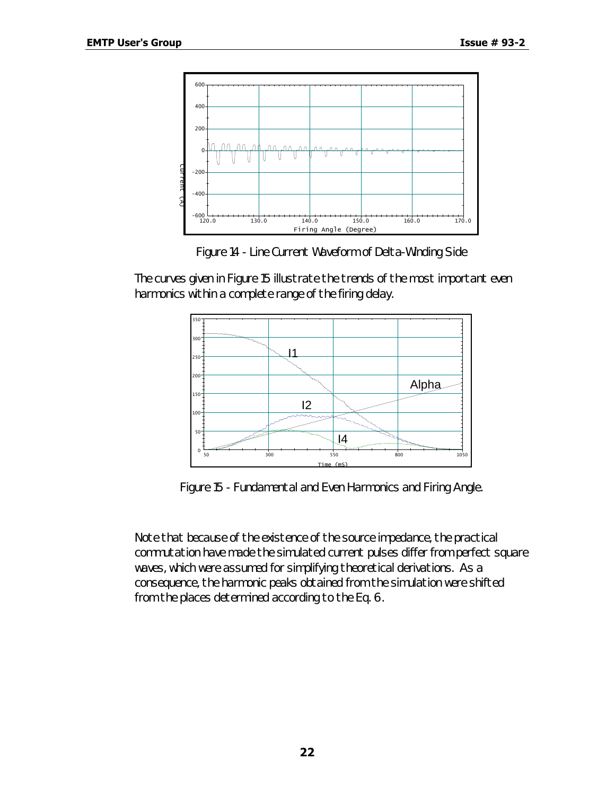

*Figure 14 - Line Current Waveform of Delta-Winding Side*

The curves given in Figure 15 illustrate the trends of the most important even harmonics within a complete range of the firing delay.



*Figure 15 - Fundamental and Even Harmonics and Firing Angle.*

Note that because of the existence of the source impedance, the practical commutation have made the simulated current pulses differ from perfect square waves, which were assumed for simplifying theoretical derivations. As a consequence, the harmonic peaks obtained from the simulation were shifted from the places determined according to the Eq. 6.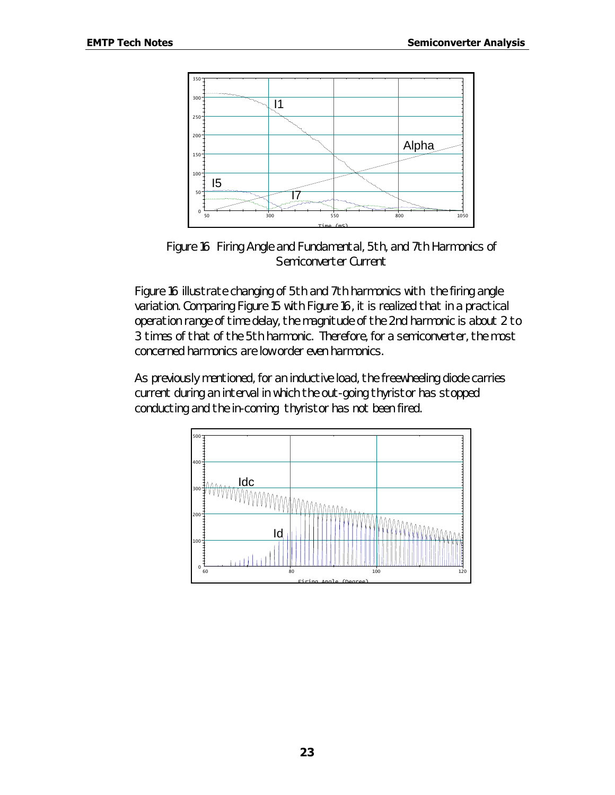

*Figure 16 Firing Angle and Fundamental, 5th, and 7th Harmonics of Semiconverter Current*

Figure 16 illustrate changing of 5th and 7th harmonics with the firing angle variation. Comparing Figure 15 with Figure 16, it is realized that in a practical operation range of time delay, the magnitude of the 2nd harmonic is about 2 to 3 times of that of the 5th harmonic. Therefore, for a semiconverter, the most concerned harmonics are low order even harmonics.

As previously mentioned, for an inductive load, the freewheeling diode carries current during an interval in which the out-going thyristor has stopped conducting and the in-coming thyristor has not been fired.

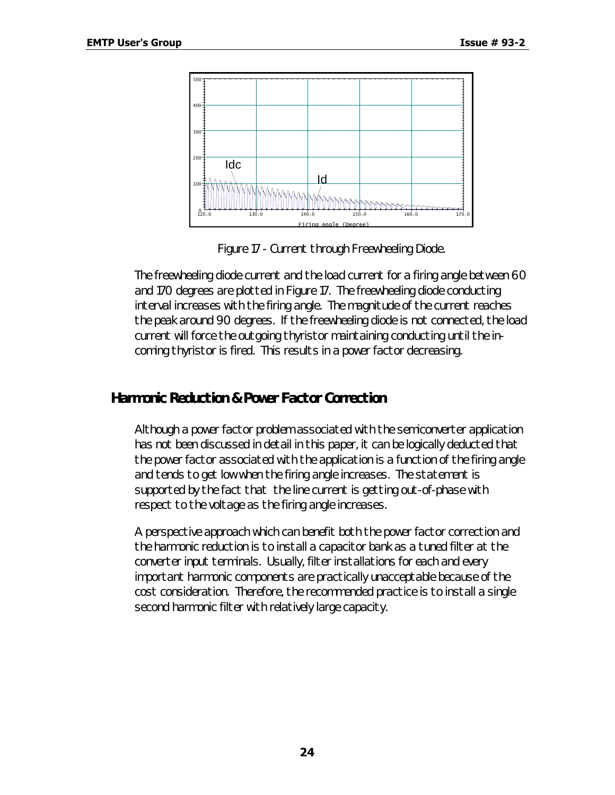

*Figure 17 - Current through Freewheeling Diode.*

The freewheeling diode current and the load current for a firing angle between 60 and 170 degrees are plotted in Figure 17. The freewheeling diode conducting interval increases with the firing angle. The magnitude of the current reaches the peak around 90 degrees. If the freewheeling diode is not connected, the load current will force the outgoing thyristor maintaining conducting until the incoming thyristor is fired. This results in a power factor decreasing.

#### *Harmonic Reduction & Power Factor Correction*

Although a power factor problem associated with the semiconverter application has not been discussed in detail in this paper, it can be logically deducted that the power factor associated with the application is a function of the firing angle and tends to get low when the firing angle increases. The statement is supported by the fact that the line current is getting out-of-phase with respect to the voltage as the firing angle increases.

A perspective approach which can benefit both the power factor correction and the harmonic reduction is to install a capacitor bank as a tuned filter at the converter input terminals. Usually, filter installations for each and every important harmonic components are practically unacceptable because of the cost consideration. Therefore, the recommended practice is to install a single second harmonic filter with relatively large capacity.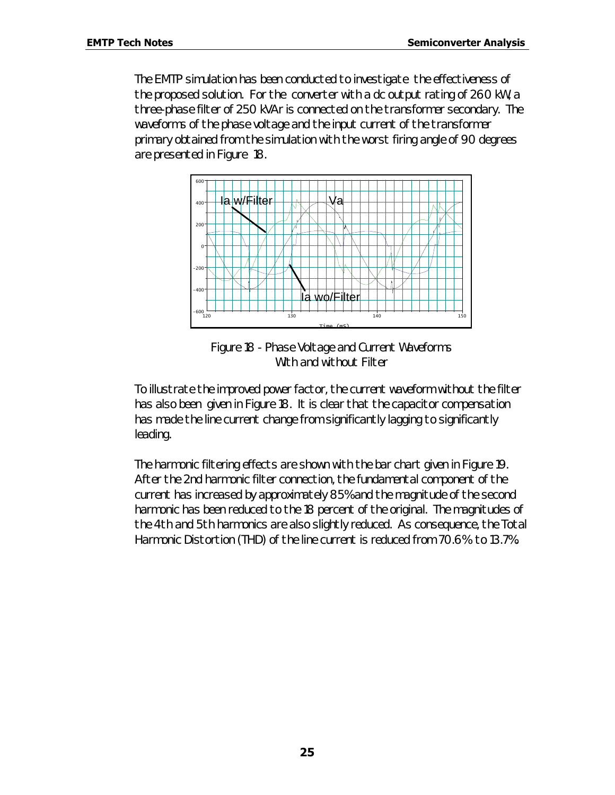The EMTP simulation has been conducted to investigate the effectiveness of the proposed solution. For the converter with a dc output rating of 260 kW, a three-phase filter of 250 kVAr is connected on the transformer secondary. The waveforms of the phase voltage and the input current of the transformer primary obtained from the simulation with the worst firing angle of 90 degrees are presented in Figure 18.



*Figure 18 - Phase Voltage and Current Waveforms With and without Filter*

To illustrate the improved power factor, the current waveform without the filter has also been given in Figure 18. It is clear that the capacitor compensation has made the line current change from significantly lagging to significantly leading.

The harmonic filtering effects are shown with the bar chart given in Figure 19. After the 2nd harmonic filter connection, the fundamental component of the current has increased by approximately 85% and the magnitude of the second harmonic has been reduced to the 18 percent of the original. The magnitudes of the 4th and 5th harmonics are also slightly reduced. As consequence, the Total Harmonic Distortion (THD) of the line current is reduced from 70.6% to 13.7%.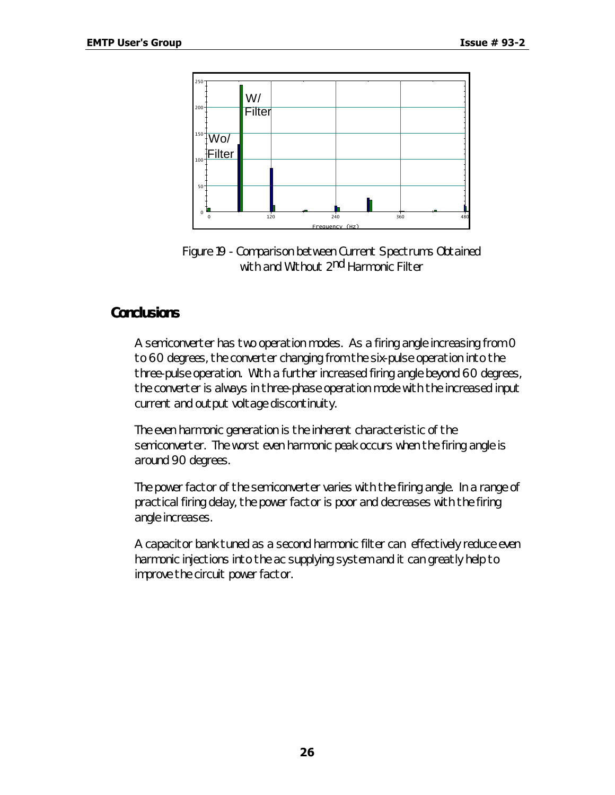

*Figure 19 - Comparison between Current Spectrums Obtained with and Without 2nd Harmonic Filter*

#### *Conclusions*

A semiconverter has two operation modes. As a firing angle increasing from 0 to 60 degrees, the converter changing from the six-pulse operation into the three-pulse operation. With a further increased firing angle beyond 60 degrees, the converter is always in three-phase operation mode with the increased input current and output voltage discontinuity.

The even harmonic generation is the inherent characteristic of the semiconverter. The worst even harmonic peak occurs when the firing angle is around 90 degrees.

The power factor of the semiconverter varies with the firing angle. In a range of practical firing delay, the power factor is poor and decreases with the firing angle increases.

A capacitor bank tuned as a second harmonic filter can effectively reduce even harmonic injections into the ac supplying system and it can greatly help to improve the circuit power factor.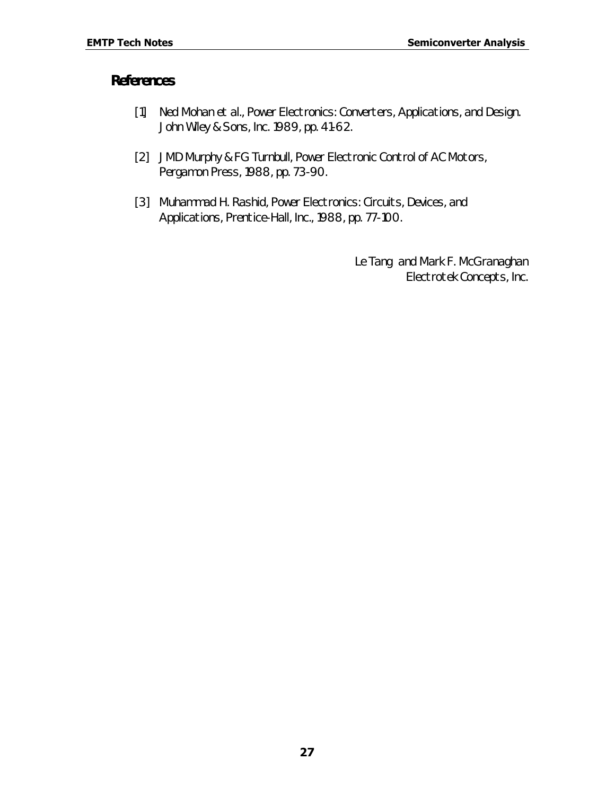#### *References*

- [1] Ned Mohan et al., Power Electronics: Converters, Applications, and Design. John Wiley & Sons, Inc. 1989, pp. 41-62.
- [2] JMD Murphy & FG Turnbull, Power Electronic Control of AC Motors, Pergamon Press, 1988, pp. 73-90.
- [3] Muhammad H. Rashid, Power Electronics: Circuits, Devices, and Applications, Prentice-Hall, Inc., 1988, pp. 77-100.

*Le Tang and Mark F. McGranaghan Electrotek Concepts, Inc.*